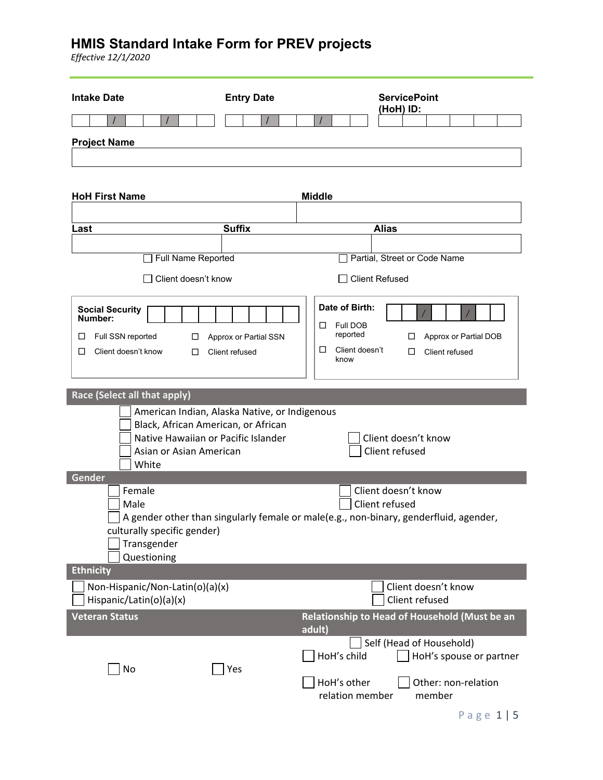| <b>Intake Date</b>                                                                                             | <b>Entry Date</b>                             | <b>ServicePoint</b><br>(HoH) ID:                                                                                                      |
|----------------------------------------------------------------------------------------------------------------|-----------------------------------------------|---------------------------------------------------------------------------------------------------------------------------------------|
|                                                                                                                |                                               |                                                                                                                                       |
| <b>Project Name</b>                                                                                            |                                               |                                                                                                                                       |
|                                                                                                                |                                               |                                                                                                                                       |
|                                                                                                                |                                               |                                                                                                                                       |
| <b>HoH First Name</b>                                                                                          |                                               | <b>Middle</b>                                                                                                                         |
|                                                                                                                |                                               |                                                                                                                                       |
| Last                                                                                                           | <b>Suffix</b>                                 | <b>Alias</b>                                                                                                                          |
|                                                                                                                |                                               |                                                                                                                                       |
| Full Name Reported                                                                                             |                                               | Partial, Street or Code Name                                                                                                          |
| Client doesn't know                                                                                            |                                               | <b>Client Refused</b>                                                                                                                 |
| <b>Social Security</b><br>Number:<br>Full SSN reported<br>$\Box$<br>□<br>Client doesn't know<br>□<br>□         | Approx or Partial SSN<br>Client refused       | Date of Birth:<br>Full DOB<br>□<br>reported<br>Approx or Partial DOB<br>□<br>Client doesn't<br>□<br>□<br>Client refused<br>know       |
| Race (Select all that apply)                                                                                   |                                               |                                                                                                                                       |
| Black, African American, or African<br>Native Hawaiian or Pacific Islander<br>Asian or Asian American<br>White | American Indian, Alaska Native, or Indigenous | Client doesn't know<br>Client refused                                                                                                 |
| Gender                                                                                                         |                                               |                                                                                                                                       |
| Female<br>Male<br>culturally specific gender)<br>Transgender<br>Questioning<br><b>Ethnicity</b>                |                                               | Client doesn't know<br>Client refused<br>A gender other than singularly female or male(e.g., non-binary, genderfluid, agender,        |
| Non-Hispanic/Non-Latin(o)(a)(x)<br>Hispanic/Latin(o)(a)(x)                                                     |                                               | Client doesn't know<br>Client refused                                                                                                 |
| <b>Veteran Status</b>                                                                                          |                                               | Relationship to Head of Household (Must be an<br>adult)                                                                               |
| No                                                                                                             | Yes                                           | Self (Head of Household)<br>HoH's child<br>HoH's spouse or partner<br>HoH's other<br>Other: non-relation<br>relation member<br>member |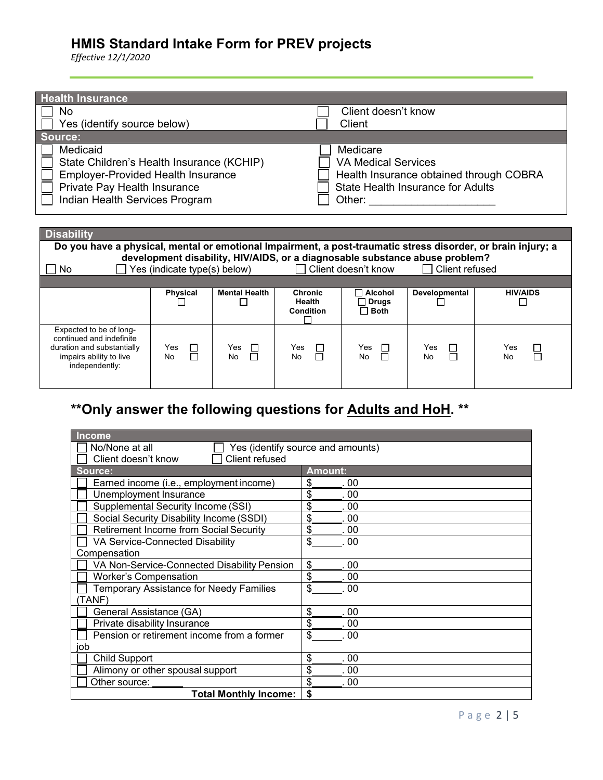*Effective 12/1/2020*

| <b>Health Insurance</b>                                                                                                                                              |                                                                                                                                         |
|----------------------------------------------------------------------------------------------------------------------------------------------------------------------|-----------------------------------------------------------------------------------------------------------------------------------------|
| No                                                                                                                                                                   | Client doesn't know                                                                                                                     |
| Yes (identify source below)                                                                                                                                          | Client                                                                                                                                  |
| Source:                                                                                                                                                              |                                                                                                                                         |
| Medicaid<br>State Children's Health Insurance (KCHIP)<br><b>Employer-Provided Health Insurance</b><br>Private Pay Health Insurance<br>Indian Health Services Program | Medicare<br><b>VA Medical Services</b><br>Health Insurance obtained through COBRA<br><b>State Health Insurance for Adults</b><br>Other: |

| <b>Disability</b>                                                                                                              |                              |                                                 |                                                     |                                                 |                                                                                                 |                     |
|--------------------------------------------------------------------------------------------------------------------------------|------------------------------|-------------------------------------------------|-----------------------------------------------------|-------------------------------------------------|-------------------------------------------------------------------------------------------------|---------------------|
| Do you have a physical, mental or emotional Impairment, a post-traumatic stress disorder, or brain injury; a                   |                              |                                                 |                                                     |                                                 |                                                                                                 |                     |
| No.                                                                                                                            | Yes (indicate type(s) below) |                                                 |                                                     | □ Client doesn't know                           | development disability, HIV/AIDS, or a diagnosable substance abuse problem?<br>□ Client refused |                     |
|                                                                                                                                |                              |                                                 |                                                     |                                                 |                                                                                                 |                     |
|                                                                                                                                | <b>Physical</b>              | <b>Mental Health</b>                            | <b>Chronic</b><br><b>Health</b><br><b>Condition</b> | $\sqcap$ Alcohol<br>$\Box$ Drugs<br>$\Box$ Both | Developmental                                                                                   | <b>HIV/AIDS</b>     |
| Expected to be of long-<br>continued and indefinite<br>duration and substantially<br>impairs ability to live<br>independently: | □<br>Yes<br>П<br>No          | Yes<br>$\overline{\phantom{a}}$<br>$\Box$<br>No | $\Box$<br>Yes<br>No                                 | Yes<br><b>No</b>                                | Yes<br>No                                                                                       | Yes<br>ப<br>ᄀ<br>No |

# **\*\*Only answer the following questions for Adults and HoH. \*\***

| <b>Income</b>                                       |                |  |
|-----------------------------------------------------|----------------|--|
| No/None at all<br>Yes (identify source and amounts) |                |  |
| Client refused<br>Client doesn't know               |                |  |
| Source:                                             | <b>Amount:</b> |  |
| Earned income (i.e., employment income)             | \$<br>. 00     |  |
| Unemployment Insurance                              | \$<br>00       |  |
| Supplemental Security Income (SSI)                  | \$<br>00       |  |
| Social Security Disability Income (SSDI)            | \$<br>. 00     |  |
| Retirement Income from Social Security              | \$<br>00       |  |
| VA Service-Connected Disability                     | \$<br>.00      |  |
| Compensation                                        |                |  |
| VA Non-Service-Connected Disability Pension         | \$<br>. 00     |  |
| <b>Worker's Compensation</b>                        | \$<br>00       |  |
| <b>Temporary Assistance for Needy Families</b>      | \$<br>00       |  |
| (TANF)                                              |                |  |
| General Assistance (GA)                             | \$<br>.00      |  |
| Private disability Insurance                        | \$<br>.00      |  |
| Pension or retirement income from a former          | \$<br>.00      |  |
| job                                                 |                |  |
| <b>Child Support</b>                                | \$<br>. 00     |  |
| Alimony or other spousal support                    | \$<br>00       |  |
| Other source:                                       | \$<br>00       |  |
| <b>Total Monthly Income:</b>                        | \$             |  |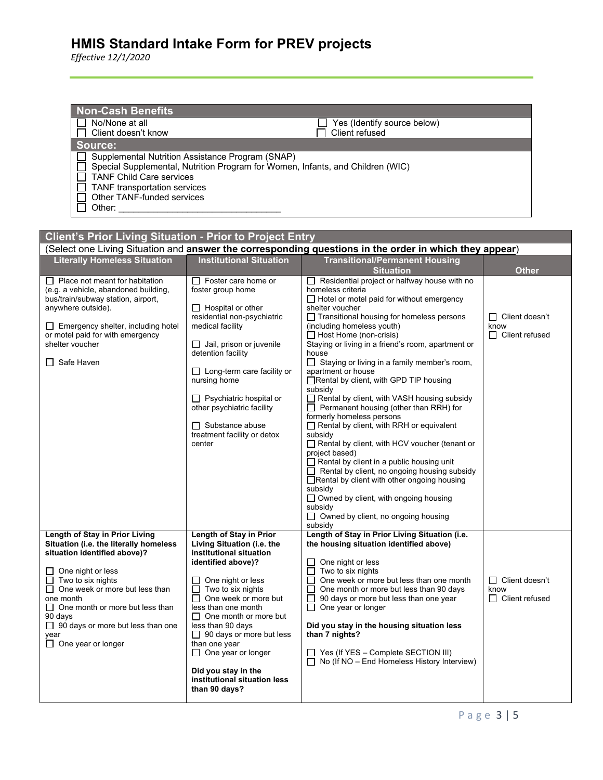| <b>Non-Cash Benefits</b><br>No/None at all<br>Client doesn't know                                                                                                  | Yes (Identify source below)<br>Client refused                                                          |
|--------------------------------------------------------------------------------------------------------------------------------------------------------------------|--------------------------------------------------------------------------------------------------------|
| Source:                                                                                                                                                            |                                                                                                        |
| Supplemental Nutrition Assistance Program (SNAP)<br><b>TANF Child Care services</b><br><b>TANF</b> transportation services<br>Other TANF-funded services<br>Other: | Special Supplemental, Nutrition Program for Women, Infants, and Children (WIC)                         |
|                                                                                                                                                                    |                                                                                                        |
| <b>Client's Prior Living Situation - Prior to Project Entry</b>                                                                                                    |                                                                                                        |
|                                                                                                                                                                    | (Select one Living Situation and answer the corresponding questions in the order in which they appear) |

| <b>Literally Homeless Situation</b>                                                                                                                                                                                                                                                                                                                           | <b>Institutional Situation</b>                                                                                                                                                                                                                                                                                                                                                                                             | <b>Transitional/Permanent Housing</b>                                                                                                                                                                                                                                                                                                                                                                                                                                                                                                                                                                                                                                                                                                                                                                                                                                                                                                                                                                                                      |                                                        |
|---------------------------------------------------------------------------------------------------------------------------------------------------------------------------------------------------------------------------------------------------------------------------------------------------------------------------------------------------------------|----------------------------------------------------------------------------------------------------------------------------------------------------------------------------------------------------------------------------------------------------------------------------------------------------------------------------------------------------------------------------------------------------------------------------|--------------------------------------------------------------------------------------------------------------------------------------------------------------------------------------------------------------------------------------------------------------------------------------------------------------------------------------------------------------------------------------------------------------------------------------------------------------------------------------------------------------------------------------------------------------------------------------------------------------------------------------------------------------------------------------------------------------------------------------------------------------------------------------------------------------------------------------------------------------------------------------------------------------------------------------------------------------------------------------------------------------------------------------------|--------------------------------------------------------|
|                                                                                                                                                                                                                                                                                                                                                               |                                                                                                                                                                                                                                                                                                                                                                                                                            | <b>Situation</b>                                                                                                                                                                                                                                                                                                                                                                                                                                                                                                                                                                                                                                                                                                                                                                                                                                                                                                                                                                                                                           | <b>Other</b>                                           |
| $\Box$ Place not meant for habitation<br>(e.g. a vehicle, abandoned building,<br>bus/train/subway station, airport,<br>anywhere outside).<br>$\Box$ Emergency shelter, including hotel<br>or motel paid for with emergency<br>shelter voucher<br>□ Safe Haven                                                                                                 | $\Box$ Foster care home or<br>foster group home<br>$\Box$ Hospital or other<br>residential non-psychiatric<br>medical facility<br>Jail, prison or juvenile<br>detention facility<br>$\Box$ Long-term care facility or<br>nursing home<br>$\Box$ Psychiatric hospital or<br>other psychiatric facility<br>$\Box$ Substance abuse<br>treatment facility or detox<br>center                                                   | $\Box$ Residential project or halfway house with no<br>homeless criteria<br>$\Box$ Hotel or motel paid for without emergency<br>shelter voucher<br>$\Box$ Transitional housing for homeless persons<br>(including homeless youth)<br>$\Box$ Host Home (non-crisis)<br>Staying or living in a friend's room, apartment or<br>house<br>$\Box$ Staying or living in a family member's room,<br>apartment or house<br>$\Box$ Rental by client, with GPD TIP housing<br>subsidy<br>$\Box$ Rental by client, with VASH housing subsidy<br>$\Box$ Permanent housing (other than RRH) for<br>formerly homeless persons<br>$\Box$ Rental by client, with RRH or equivalent<br>subsidy<br>Rental by client, with HCV voucher (tenant or<br>project based)<br>$\Box$ Rental by client in a public housing unit<br>$\Box$ Rental by client, no ongoing housing subsidy<br>□ Rental by client with other ongoing housing<br>subsidy<br>$\Box$ Owned by client, with ongoing housing<br>subsidy<br>$\Box$ Owned by client, no ongoing housing<br>subsidy | $\Box$ Client doesn't<br>know<br>$\Box$ Client refused |
| Length of Stay in Prior Living<br>Situation (i.e. the literally homeless<br>situation identified above)?<br>One night or less<br>ப<br>$\Box$ Two to six nights<br>One week or more but less than<br>$\Box$<br>one month<br>$\Box$ One month or more but less than<br>90 days<br>$\Box$ 90 days or more but less than one<br>year<br>$\Box$ One year or longer | Length of Stay in Prior<br>Living Situation (i.e. the<br>institutional situation<br>identified above)?<br>One night or less<br>Two to six nights<br>One week or more but<br>$\Box$<br>less than one month<br>$\Box$<br>One month or more but<br>less than 90 days<br>$\Box$ 90 days or more but less<br>than one year<br>$\Box$ One year or longer<br>Did you stay in the<br>institutional situation less<br>than 90 days? | Length of Stay in Prior Living Situation (i.e.<br>the housing situation identified above)<br>One night or less<br>$\Box$<br>□<br>Two to six nights<br>One week or more but less than one month<br>$\Box$<br>One month or more but less than 90 days<br>$\Box$<br>90 days or more but less than one year<br>$\Box$<br>One year or longer<br>⊔<br>Did you stay in the housing situation less<br>than 7 nights?<br>□ Yes (If YES - Complete SECTION III)<br>$\Box$ No (If NO – End Homeless History Interview)                                                                                                                                                                                                                                                                                                                                                                                                                                                                                                                                | □ Client doesn't<br>know<br>$\Box$ Client refused      |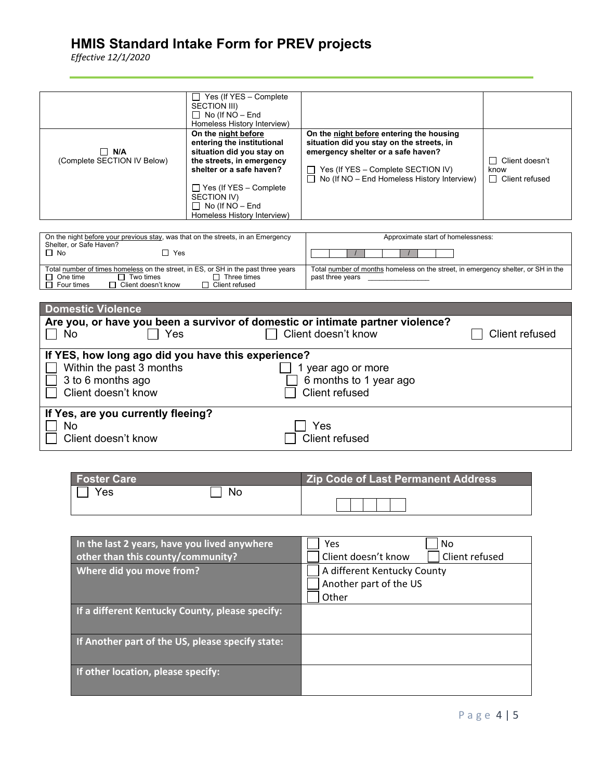| $\Box$ N/A<br>(Complete SECTION IV Below) | Yes (If YES - Complete<br>$\mathsf{L}$<br>SECTION III)<br>$\Box$ No (If NO – End<br>Homeless History Interview)<br>On the night before<br>entering the institutional<br>situation did you stay on<br>the streets, in emergency<br>shelter or a safe haven?<br>$\Box$ Yes (If YES – Complete<br>SECTION IV)<br>$\Box$ No (If NO – End<br>Homeless History Interview) | On the night before entering the housing<br>situation did you stay on the streets, in<br>emergency shelter or a safe haven?<br>Yes (If YES - Complete SECTION IV)<br>$\Box$ No (If NO – End Homeless History Interview) | □ Client doesn't<br>know<br>$\Box$ Client refused |
|-------------------------------------------|---------------------------------------------------------------------------------------------------------------------------------------------------------------------------------------------------------------------------------------------------------------------------------------------------------------------------------------------------------------------|-------------------------------------------------------------------------------------------------------------------------------------------------------------------------------------------------------------------------|---------------------------------------------------|
|-------------------------------------------|---------------------------------------------------------------------------------------------------------------------------------------------------------------------------------------------------------------------------------------------------------------------------------------------------------------------------------------------------------------------|-------------------------------------------------------------------------------------------------------------------------------------------------------------------------------------------------------------------------|---------------------------------------------------|

| On the night before your previous stay, was that on the streets, in an Emergency<br>Shelter, or Safe Haven?                                                                       | Approximate start of homelessness:                                                                    |
|-----------------------------------------------------------------------------------------------------------------------------------------------------------------------------------|-------------------------------------------------------------------------------------------------------|
| Π No<br>Yes                                                                                                                                                                       |                                                                                                       |
| Total number of times homeless on the street, in ES, or SH in the past three years<br>Two times<br>One time<br>Three times<br>Client doesn't know<br>Client refused<br>Four times | Total number of months homeless on the street, in emergency shelter, or SH in the<br>past three years |

| <b>Domestic Violence</b>                                                       |                        |                |
|--------------------------------------------------------------------------------|------------------------|----------------|
| Are you, or have you been a survivor of domestic or intimate partner violence? |                        |                |
| Yes<br>No                                                                      | Client doesn't know    | Client refused |
| If YES, how long ago did you have this experience?                             |                        |                |
| Within the past 3 months                                                       | year ago or more       |                |
| 3 to 6 months ago                                                              | 6 months to 1 year ago |                |
| Client doesn't know                                                            | Client refused         |                |
| If Yes, are you currently fleeing?                                             |                        |                |
| No                                                                             | Yes                    |                |
| Client doesn't know                                                            | Client refused         |                |

| <b>Foster Care</b> |    | <b>Zip Code of Last Permanent Address</b> |
|--------------------|----|-------------------------------------------|
| Yes                | No |                                           |
|                    |    |                                           |

| In the last 2 years, have you lived anywhere     | Yes<br>No                             |
|--------------------------------------------------|---------------------------------------|
| other than this county/community?                | Client doesn't know<br>Client refused |
| Where did you move from?                         | A different Kentucky County           |
|                                                  | Another part of the US                |
|                                                  | Other                                 |
| If a different Kentucky County, please specify:  |                                       |
| If Another part of the US, please specify state: |                                       |
| If other location, please specify:               |                                       |